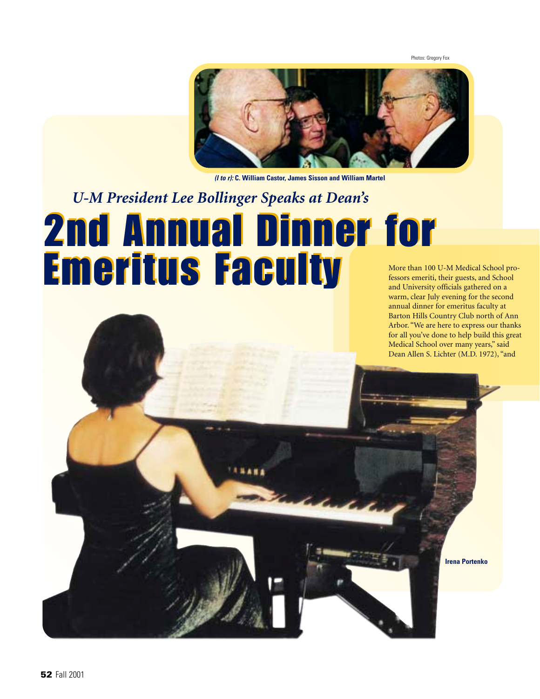Photos: Gregory Fox



*(l to r):* **C. William Castor, James Sisson and William Martel**

## *U-M President Lee Bollinger Speaks at Dean's*  2nd Annual Dinner for 2nd Annual Dinner for Emeritus Faculty Emeritus Faculty

More than 100 U-M Medical School professors emeriti, their guests, and School and University officials gathered on a warm, clear July evening for the second annual dinner for emeritus faculty at Barton Hills Country Club north of Ann Arbor. "We are here to express our thanks for all you've done to help build this great Medical School over many years," said Dean Allen S. Lichter (M.D. 1972), "and

**Irena Portenko**